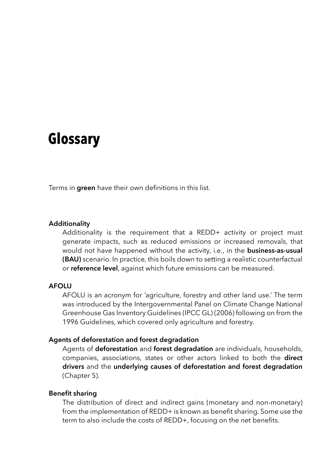# **Glossary**

Terms in **green** have their own definitions in this list.

### **Additionality**

Additionality is the requirement that a REDD+ activity or project must generate impacts, such as reduced emissions or increased removals, that would not have happened without the activity, i.e., in the **business-as-usual (BAU)** scenario. In practice, this boils down to setting a realistic counterfactual or **reference level**, against which future emissions can be measured.

# **AFOLU**

AFOLU is an acronym for 'agriculture, forestry and other land use.' The term was introduced by the Intergovernmental Panel on Climate Change National Greenhouse Gas Inventory Guidelines (IPCC GL) (2006) following on from the 1996 Guidelines, which covered only agriculture and forestry.

### **Agents of deforestation and forest degradation**

Agents of **deforestation** and **forest degradation** are individuals, households, companies, associations, states or other actors linked to both the **direct drivers** and the **underlying causes of deforestation and forest degradation** (Chapter 5).

#### **Benefit sharing**

The distribution of direct and indirect gains (monetary and non-monetary) from the implementation of REDD+ is known as benefit sharing. Some use the term to also include the costs of REDD+, focusing on the *net* benefits.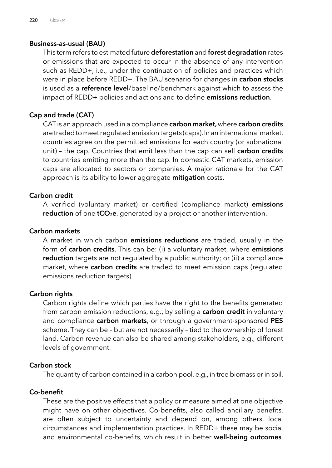# **Business-as-usual (BAU)**

This term refers to estimated future **deforestation** and **forest degradation** rates or emissions that are expected to occur in the absence of any intervention such as REDD+, i.e., under the continuation of policies and practices which were in place before REDD+. The BAU scenario for changes in **carbon stocks** is used as a **reference level**/baseline/benchmark against which to assess the impact of REDD+ policies and actions and to define **emissions reduction**.

# **Cap and trade (CAT)**

CAT is an approach used in a compliance **carbon market,** where **carbon credits** are traded to meet regulated emission targets (caps). In an international market, countries agree on the permitted emissions for each country (or subnational unit) – the cap. Countries that emit less than the cap can sell **carbon credits** to countries emitting more than the cap. In domestic CAT markets, emission caps are allocated to sectors or companies. A major rationale for the CAT approach is its ability to lower aggregate **mitigation** costs.

# **Carbon credit**

A verified (voluntary market) or certified (compliance market) **emissions reduction** of one **tCO<sub>2</sub>e**, generated by a project or another intervention.

# **Carbon markets**

A market in which carbon **emissions reductions** are traded, usually in the form of **carbon credits**. This can be: (i) a voluntary market, where **emissions reduction** targets are not regulated by a public authority; or (ii) a compliance market, where **carbon credits** are traded to meet emission caps (regulated emissions reduction targets).

#### **Carbon rights**

Carbon rights define which parties have the right to the benefits generated from carbon emission reductions, e.g., by selling a **carbon credit** in voluntary and compliance **carbon markets**, or through a government-sponsored **PES** scheme. They can be – but are not necessarily – tied to the ownership of forest land. Carbon revenue can also be shared among stakeholders, e.g., different levels of government.

# **Carbon stock**

The quantity of carbon contained in a carbon pool, e.g., in tree biomass or in soil.

#### **Co-benefit**

These are the positive effects that a policy or measure aimed at one objective might have on other objectives. Co-benefits, also called ancillary benefits, are often subject to uncertainty and depend on, among others, local circumstances and implementation practices. In REDD+ these may be social and environmental co-benefits, which result in better **well-being outcomes**.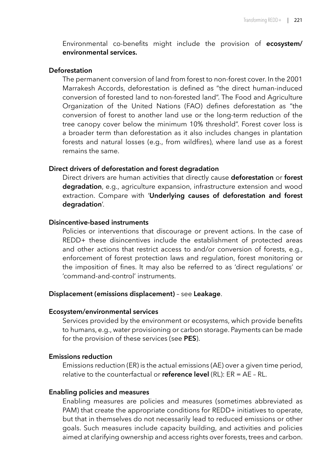Environmental co-benefits might include the provision of **ecosystem/ environmental services.** 

#### **Deforestation**

The permanent conversion of land from forest to non-forest cover. In the 2001 Marrakesh Accords, deforestation is defined as "the direct human-induced conversion of forested land to non-forested land". The Food and Agriculture Organization of the United Nations (FAO) defines deforestation as "the conversion of forest to another land use or the long-term reduction of the tree canopy cover below the minimum 10% threshold". Forest cover loss is a broader term than deforestation as it also includes changes in plantation forests and natural losses (e.g., from wildfires), where land use as a forest remains the same.

### **Direct drivers of deforestation and forest degradation**

Direct drivers are human activities that directly cause **deforestation** or **forest degradation**, e.g., agriculture expansion, infrastructure extension and wood extraction. Compare with '**Underlying causes of deforestation and forest degradation**'.

### **Disincentive-based instruments**

Policies or interventions that discourage or prevent actions. In the case of REDD+ these disincentives include the establishment of protected areas and other actions that restrict access to and/or conversion of forests, e.g., enforcement of forest protection laws and regulation, forest monitoring or the imposition of fines. It may also be referred to as 'direct regulations' or 'command-and-control' instruments.

### **Displacement (emissions displacement)** – see **Leakage**.

### **Ecosystem/environmental services**

Services provided by the environment or ecosystems, which provide benefits to humans, e.g., water provisioning or carbon storage. Payments can be made for the provision of these services (see **PES**).

# **Emissions reduction**

Emissions reduction (ER) is the actual emissions (AE) over a given time period, relative to the counterfactual or **reference level** (RL): ER = AE – RL.

## **Enabling policies and measures**

Enabling measures are policies and measures (sometimes abbreviated as PAM) that create the appropriate conditions for REDD+ initiatives to operate, but that in themselves do not necessarily lead to reduced emissions or other goals. Such measures include capacity building, and activities and policies aimed at clarifying ownership and access rights over forests, trees and carbon.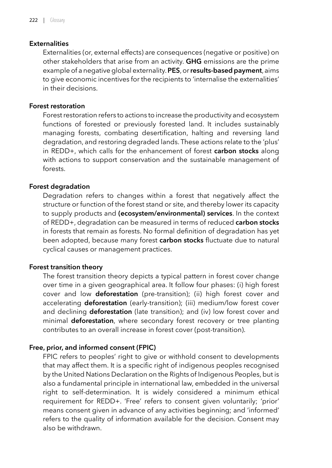# **Externalities**

Externalities (or, external effects) are consequences (negative or positive) on other stakeholders that arise from an activity. **GHG** emissions are the prime example of a negative global externality. **PES**, or **results-based payment**, aims to give economic incentives for the recipients to 'internalise the externalities' in their decisions.

# **Forest restoration**

Forest restoration refers to actions to increase the productivity and ecosystem functions of forested or previously forested land. It includes sustainably managing forests, combating desertification, halting and reversing land degradation, and restoring degraded lands. These actions relate to the 'plus' in REDD+, which calls for the enhancement of forest **carbon stocks** along with actions to support conservation and the sustainable management of forests.

# **Forest degradation**

Degradation refers to changes within a forest that negatively affect the structure or function of the forest stand or site, and thereby lower its capacity to supply products and **(ecosystem/environmental) services**. In the context of REDD+, degradation can be measured in terms of reduced **carbon stocks** in forests that remain as forests. No formal definition of degradation has yet been adopted, because many forest **carbon stocks** fluctuate due to natural cyclical causes or management practices.

### **Forest transition theory**

The forest transition theory depicts a typical pattern in forest cover change over time in a given geographical area. It follow four phases: (i) high forest cover and low **deforestation** (pre-transition); (ii) high forest cover and accelerating **deforestation** (early-transition); (iii) medium/low forest cover and declining **deforestation** (late transition); and (iv) low forest cover and minimal **deforestation**, where secondary forest recovery or tree planting contributes to an overall increase in forest cover (post-transition).

# **Free, prior, and informed consent (FPIC)**

FPIC refers to peoples' right to give or withhold consent to developments that may affect them. It is a specific right of indigenous peoples recognised by the United Nations Declaration on the Rights of Indigenous Peoples, but is also a fundamental principle in international law, embedded in the universal right to self-determination. It is widely considered a minimum ethical requirement for REDD+. 'Free' refers to consent given voluntarily; 'prior' means consent given in advance of any activities beginning; and 'informed' refers to the quality of information available for the decision. Consent may also be withdrawn.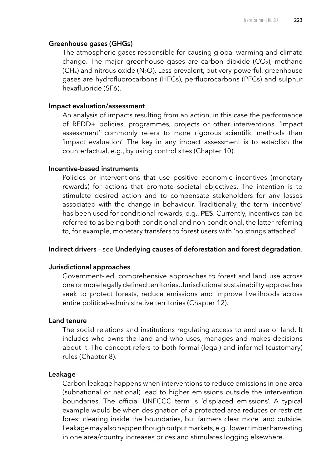#### **Greenhouse gases (GHGs)**

The atmospheric gases responsible for causing global warming and climate change. The major greenhouse gases are carbon dioxide  $(CO<sub>2</sub>)$ , methane  $(CH<sub>4</sub>)$  and nitrous oxide (N<sub>2</sub>O). Less prevalent, but very powerful, greenhouse gases are hydrofluorocarbons (HFCs), perfluorocarbons (PFCs) and sulphur hexafluoride (SF6).

#### **Impact evaluation/assessment**

An analysis of impacts resulting from an action, in this case the performance of REDD+ policies, programmes, projects or other interventions. 'Impact assessment' commonly refers to more rigorous scientific methods than 'impact evaluation'. The key in any impact assessment is to establish the counterfactual, e.g., by using control sites (Chapter 10).

# **Incentive-based instruments**

Policies or interventions that use positive economic incentives (monetary rewards) for actions that promote societal objectives. The intention is to stimulate desired action and to compensate stakeholders for any losses associated with the change in behaviour. Traditionally, the term 'incentive' has been used for conditional rewards, e.g., **PES**. Currently, incentives can be referred to as being both conditional and non-conditional, the latter referring to, for example, monetary transfers to forest users with 'no strings attached'.

#### **Indirect drivers** – see **Underlying causes of deforestation and forest degradation**.

# **Jurisdictional approaches**

Government-led, comprehensive approaches to forest and land use across one or more legally defined territories. Jurisdictional sustainability approaches seek to protect forests, reduce emissions and improve livelihoods across entire political-administrative territories (Chapter 12).

#### **Land tenure**

The social relations and institutions regulating access to and use of land. It includes who owns the land and who uses, manages and makes decisions about it. The concept refers to both formal (legal) and informal (customary) rules (Chapter 8).

#### **Leakage**

Carbon leakage happens when interventions to reduce emissions in one area (subnational or national) lead to higher emissions outside the intervention boundaries. The official UNFCCC term is 'displaced emissions'. A typical example would be when designation of a protected area reduces or restricts forest clearing inside the boundaries, but farmers clear more land outside. Leakage may also happen though output markets, e.g., lower timber harvesting in one area/country increases prices and stimulates logging elsewhere.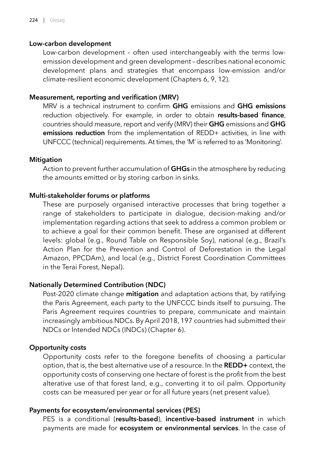# **Low-carbon development**

Low-carbon development – often used interchangeably with the terms lowemission development and green development – describes national economic development plans and strategies that encompass low-emission and/or climate-resilient economic development (Chapters 6, 9, 12).

# **Measurement, reporting and verification (MRV)**

MRV is a technical instrument to confirm **GHG** emissions and **GHG emissions** reduction objectively. For example, in order to obtain **results-based finance**, countries should measure, report and verify (MRV) their **GHG** emissions and **GHG emissions reduction** from the implementation of REDD+ activities, in line with UNFCCC (technical) requirements. At times, the 'M' is referred to as 'Monitoring'.

# **Mitigation**

Action to prevent further accumulation of **GHGs** in the atmosphere by reducing the amounts emitted or by storing carbon in sinks.

# **Multi-stakeholder forums or platforms**

These are purposely organised interactive processes that bring together a range of stakeholders to participate in dialogue, decision-making and/or implementation regarding actions that seek to address a common problem or to achieve a goal for their common benefit. These are organised at different levels: global (e.g., Round Table on Responsible Soy), national (e.g., Brazil's Action Plan for the Prevention and Control of Deforestation in the Legal Amazon, PPCDAm), and local (e.g., District Forest Coordination Committees in the Terai Forest, Nepal).

# **Nationally Determined Contribution (NDC)**

Post-2020 climate change **mitigation** and adaptation actions that, by ratifying the Paris Agreement, each party to the UNFCCC binds itself to pursuing. The Paris Agreement requires countries to prepare, communicate and maintain increasingly ambitious NDCs. By April 2018, 197 countries had submitted their NDCs or Intended NDCs (INDCs) (Chapter 6).

# **Opportunity costs**

Opportunity costs refer to the foregone benefits of choosing a particular option, that is, the best alternative use of a resource. In the **REDD+** context, the opportunity costs of conserving one hectare of forest is the profit from the best alterative use of that forest land, e.g., converting it to oil palm. Opportunity costs can be measured per year or for all future years (net present value).

# **Payments for ecosystem/environmental services (PES)**

PES is a conditional (**results-based**), **incentive-based instrument** in which payments are made for **ecosystem or environmental services**. In the case of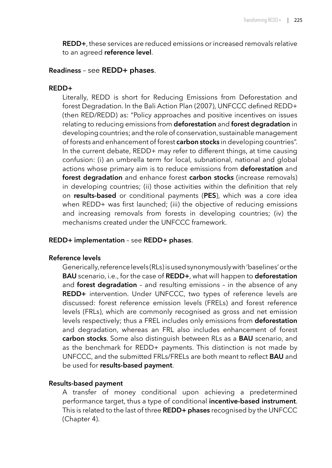**REDD+**, these services are reduced emissions or increased removals relative to an agreed **reference level**.

## **Readiness** – see **REDD+ phases**.

#### **REDD+**

Literally, REDD is short for Reducing Emissions from Deforestation and forest Degradation. In the Bali Action Plan (2007), UNFCCC defined REDD+ (then RED/REDD) as: "Policy approaches and positive incentives on issues relating to reducing emissions from **deforestation** and **forest degradation** in developing countries; and the role of conservation, sustainable management of forests and enhancement of forest **carbon stocks** in developing countries". In the current debate, REDD+ may refer to different things, at time causing confusion: (i) an umbrella term for local, subnational, national and global actions whose primary aim is to reduce emissions from **deforestation** and **forest degradation** and enhance forest **carbon stocks** (increase removals) in developing countries; (ii) those activities within the definition that rely on **results-based** or conditional payments (**PES**), which was a core idea when REDD+ was first launched; (iii) the objective of reducing emissions and increasing removals from forests in developing countries; (iv) the mechanisms created under the UNFCCC framework.

### **REDD+ implementation** – see **REDD+ phases**.

## **Reference levels**

Generically, reference levels (RLs) is used synonymously with 'baselines' or the **BAU** scenario, i.e., for the case of **REDD+**, what will happen to **deforestation** and **forest degradation** – and resulting emissions – in the absence of any **REDD+** intervention. Under UNFCCC, two types of reference levels are discussed: forest reference emission levels (FRELs) and forest reference levels (FRLs), which are commonly recognised as gross and net emission levels respectively; thus a FREL includes only emissions from **deforestation** and degradation, whereas an FRL also includes enhancement of forest **carbon stocks**. Some also distinguish between RLs as a **BAU** scenario, and as the benchmark for REDD+ payments. This distinction is not made by UNFCCC, and the submitted FRLs/FRELs are both meant to reflect **BAU** and be used for **results-based payment**.

# **Results-based payment**

A transfer of money conditional upon achieving a predetermined performance target, thus a type of conditional **incentive-based instrument**. This is related to the last of three **REDD+ phases** recognised by the UNFCCC (Chapter 4).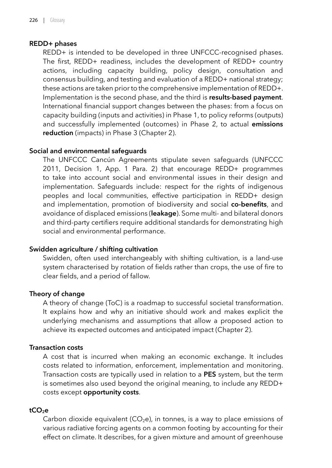# **REDD+ phases**

REDD+ is intended to be developed in three UNFCCC-recognised phases. The first, REDD+ readiness, includes the development of REDD+ country actions, including capacity building, policy design, consultation and consensus building, and testing and evaluation of a REDD+ national strategy; these actions are taken prior to the comprehensive implementation of REDD+. Implementation is the second phase, and the third is **results-based payment**. International financial support changes between the phases: from a focus on capacity building (inputs and activities) in Phase 1, to policy reforms (outputs) and successfully implemented (outcomes) in Phase 2, to actual **emissions reduction** (impacts) in Phase 3 (Chapter 2).

# **Social and environmental safeguards**

The UNFCCC Cancún Agreements stipulate seven safeguards (UNFCCC 2011, Decision 1, App. 1 Para. 2) that encourage REDD+ programmes to take into account social and environmental issues in their design and implementation. Safeguards include: respect for the rights of indigenous peoples and local communities, effective participation in REDD+ design and implementation, promotion of biodiversity and social **co-benefits**, and avoidance of displaced emissions (**leakage**). Some multi- and bilateral donors and third-party certifiers require additional standards for demonstrating high social and environmental performance.

### **Swidden agriculture / shifting cultivation**

Swidden, often used interchangeably with shifting cultivation, is a land-use system characterised by rotation of fields rather than crops, the use of fire to clear fields, and a period of fallow.

### **Theory of change**

A theory of change (ToC) is a roadmap to successful societal transformation. It explains how and why an initiative should work and makes explicit the underlying mechanisms and assumptions that allow a proposed action to achieve its expected outcomes and anticipated impact (Chapter 2).

### **Transaction costs**

A cost that is incurred when making an economic exchange. It includes costs related to information, enforcement, implementation and monitoring. Transaction costs are typically used in relation to a **PES** system, but the term is sometimes also used beyond the original meaning, to include any REDD+ costs except **opportunity costs**.

### **tCO2e**

Carbon dioxide equivalent ( $CO<sub>2</sub>e$ ), in tonnes, is a way to place emissions of various radiative forcing agents on a common footing by accounting for their effect on climate. It describes, for a given mixture and amount of greenhouse